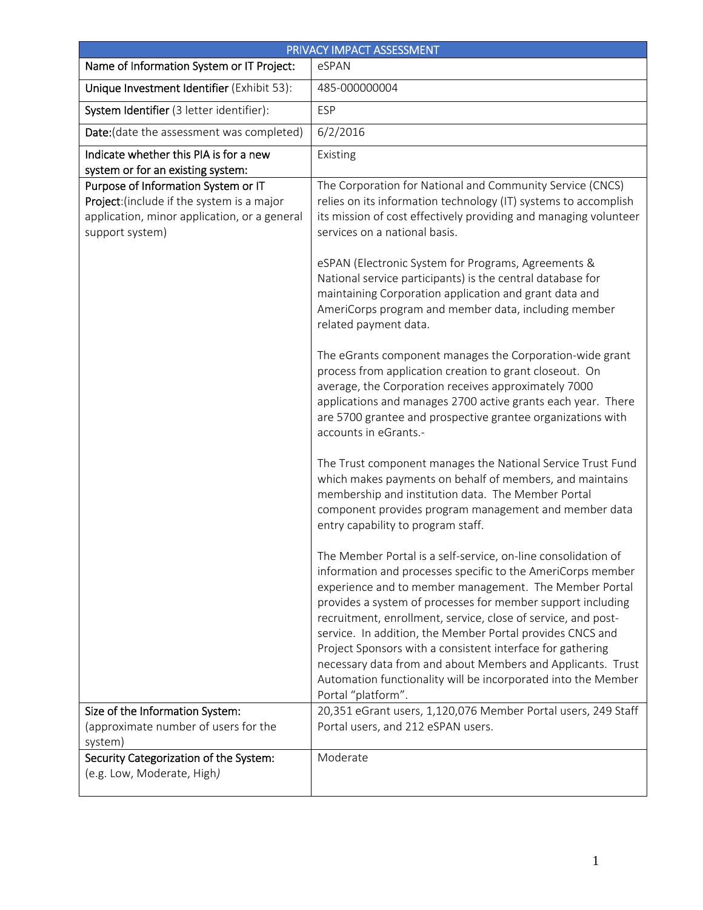| PRIVACY IMPACT ASSESSMENT                                                                                                                            |                                                                                                                                                                                                                                                                                                                                                                                                                                                                                                                                                                                                         |
|------------------------------------------------------------------------------------------------------------------------------------------------------|---------------------------------------------------------------------------------------------------------------------------------------------------------------------------------------------------------------------------------------------------------------------------------------------------------------------------------------------------------------------------------------------------------------------------------------------------------------------------------------------------------------------------------------------------------------------------------------------------------|
| Name of Information System or IT Project:                                                                                                            | eSPAN                                                                                                                                                                                                                                                                                                                                                                                                                                                                                                                                                                                                   |
| Unique Investment Identifier (Exhibit 53):                                                                                                           | 485-000000004                                                                                                                                                                                                                                                                                                                                                                                                                                                                                                                                                                                           |
| System Identifier (3 letter identifier):                                                                                                             | <b>ESP</b>                                                                                                                                                                                                                                                                                                                                                                                                                                                                                                                                                                                              |
| Date: (date the assessment was completed)                                                                                                            | 6/2/2016                                                                                                                                                                                                                                                                                                                                                                                                                                                                                                                                                                                                |
| Indicate whether this PIA is for a new                                                                                                               | Existing                                                                                                                                                                                                                                                                                                                                                                                                                                                                                                                                                                                                |
| system or for an existing system:                                                                                                                    |                                                                                                                                                                                                                                                                                                                                                                                                                                                                                                                                                                                                         |
| Purpose of Information System or IT<br>Project: (include if the system is a major<br>application, minor application, or a general<br>support system) | The Corporation for National and Community Service (CNCS)<br>relies on its information technology (IT) systems to accomplish<br>its mission of cost effectively providing and managing volunteer<br>services on a national basis.<br>eSPAN (Electronic System for Programs, Agreements &<br>National service participants) is the central database for<br>maintaining Corporation application and grant data and                                                                                                                                                                                        |
|                                                                                                                                                      | AmeriCorps program and member data, including member<br>related payment data.                                                                                                                                                                                                                                                                                                                                                                                                                                                                                                                           |
|                                                                                                                                                      | The eGrants component manages the Corporation-wide grant<br>process from application creation to grant closeout. On<br>average, the Corporation receives approximately 7000<br>applications and manages 2700 active grants each year. There<br>are 5700 grantee and prospective grantee organizations with<br>accounts in eGrants.-                                                                                                                                                                                                                                                                     |
|                                                                                                                                                      | The Trust component manages the National Service Trust Fund<br>which makes payments on behalf of members, and maintains<br>membership and institution data. The Member Portal<br>component provides program management and member data<br>entry capability to program staff.                                                                                                                                                                                                                                                                                                                            |
|                                                                                                                                                      | The Member Portal is a self-service, on-line consolidation of<br>information and processes specific to the AmeriCorps member<br>experience and to member management. The Member Portal<br>provides a system of processes for member support including<br>recruitment, enrollment, service, close of service, and post-<br>service. In addition, the Member Portal provides CNCS and<br>Project Sponsors with a consistent interface for gathering<br>necessary data from and about Members and Applicants. Trust<br>Automation functionality will be incorporated into the Member<br>Portal "platform". |
| Size of the Information System:<br>(approximate number of users for the<br>system)                                                                   | 20,351 eGrant users, 1,120,076 Member Portal users, 249 Staff<br>Portal users, and 212 eSPAN users.                                                                                                                                                                                                                                                                                                                                                                                                                                                                                                     |
| Security Categorization of the System:<br>(e.g. Low, Moderate, High)                                                                                 | Moderate                                                                                                                                                                                                                                                                                                                                                                                                                                                                                                                                                                                                |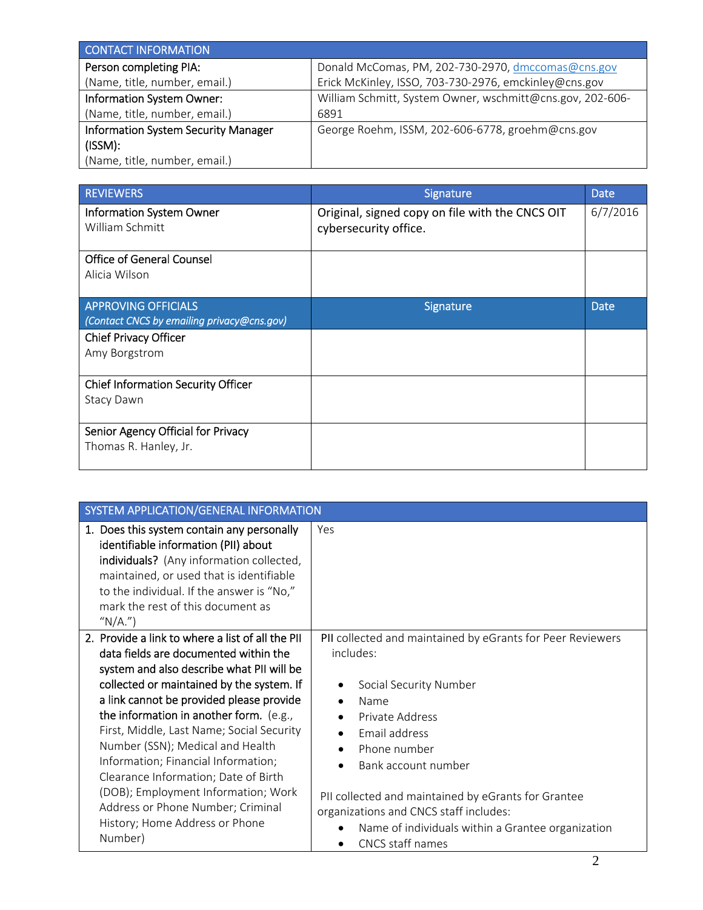| <b>CONTACT INFORMATION</b>                 |                                                           |
|--------------------------------------------|-----------------------------------------------------------|
| Person completing PIA:                     | Donald McComas, PM, 202-730-2970, dmccomas@cns.gov        |
| (Name, title, number, email.)              | Erick McKinley, ISSO, 703-730-2976, emckinley@cns.gov     |
| Information System Owner:                  | William Schmitt, System Owner, wschmitt@cns.gov, 202-606- |
| (Name, title, number, email.)              | 6891                                                      |
| <b>Information System Security Manager</b> | George Roehm, ISSM, 202-606-6778, groehm@cns.gov          |
| (ISSM):                                    |                                                           |
| (Name, title, number, email.)              |                                                           |

| <b>REVIEWERS</b>                            | Signature                                                                | <b>Date</b> |
|---------------------------------------------|--------------------------------------------------------------------------|-------------|
| Information System Owner<br>William Schmitt | Original, signed copy on file with the CNCS OIT<br>cybersecurity office. | 6/7/2016    |
|                                             |                                                                          |             |
| <b>Office of General Counsel</b>            |                                                                          |             |
| Alicia Wilson                               |                                                                          |             |
| <b>APPROVING OFFICIALS</b>                  | Signature                                                                | <b>Date</b> |
| (Contact CNCS by emailing privacy@cns.gov)  |                                                                          |             |
| Chief Privacy Officer                       |                                                                          |             |
| Amy Borgstrom                               |                                                                          |             |
| <b>Chief Information Security Officer</b>   |                                                                          |             |
| Stacy Dawn                                  |                                                                          |             |
|                                             |                                                                          |             |
| Senior Agency Official for Privacy          |                                                                          |             |
| Thomas R. Hanley, Jr.                       |                                                                          |             |
|                                             |                                                                          |             |

| SYSTEM APPLICATION/GENERAL INFORMATION                                                                                                                                                                                                                                                                                                                                                                                                                                                                                                                              |                                                                                                                                                                                                                                                                                                                                                                                                                                              |
|---------------------------------------------------------------------------------------------------------------------------------------------------------------------------------------------------------------------------------------------------------------------------------------------------------------------------------------------------------------------------------------------------------------------------------------------------------------------------------------------------------------------------------------------------------------------|----------------------------------------------------------------------------------------------------------------------------------------------------------------------------------------------------------------------------------------------------------------------------------------------------------------------------------------------------------------------------------------------------------------------------------------------|
| 1. Does this system contain any personally<br>identifiable information (PII) about<br>individuals? (Any information collected,<br>maintained, or used that is identifiable<br>to the individual. If the answer is "No,"<br>mark the rest of this document as<br>" $N/A$ .")                                                                                                                                                                                                                                                                                         | Yes                                                                                                                                                                                                                                                                                                                                                                                                                                          |
| 2. Provide a link to where a list of all the PII<br>data fields are documented within the<br>system and also describe what PII will be<br>collected or maintained by the system. If<br>a link cannot be provided please provide<br>the information in another form. (e.g.,<br>First, Middle, Last Name; Social Security<br>Number (SSN); Medical and Health<br>Information; Financial Information;<br>Clearance Information; Date of Birth<br>(DOB); Employment Information; Work<br>Address or Phone Number; Criminal<br>History; Home Address or Phone<br>Number) | PII collected and maintained by eGrants for Peer Reviewers<br>includes:<br>Social Security Number<br>Name<br>$\bullet$<br>Private Address<br>$\bullet$<br>Email address<br>$\bullet$<br>Phone number<br>$\bullet$<br>Bank account number<br>$\bullet$<br>PII collected and maintained by eGrants for Grantee<br>organizations and CNCS staff includes:<br>Name of individuals within a Grantee organization<br>CNCS staff names<br>$\bullet$ |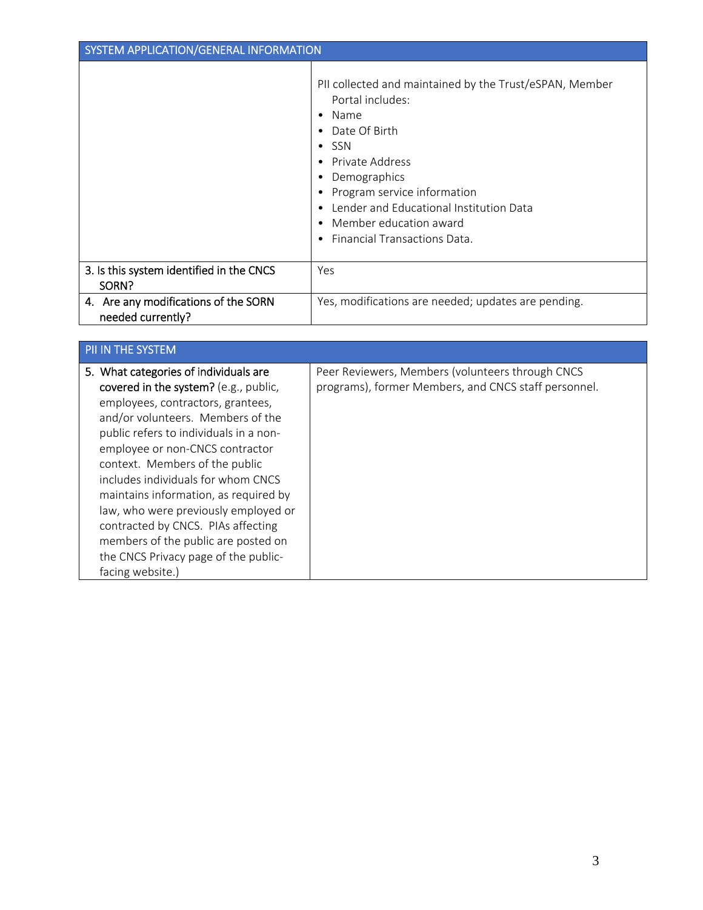| SYSTEM APPLICATION/GENERAL INFORMATION                    |                                                                                                                                                                                                                                                                                                                                                                                   |
|-----------------------------------------------------------|-----------------------------------------------------------------------------------------------------------------------------------------------------------------------------------------------------------------------------------------------------------------------------------------------------------------------------------------------------------------------------------|
|                                                           | PII collected and maintained by the Trust/eSPAN, Member<br>Portal includes:<br>Name<br>$\bullet$<br>Date Of Birth<br>$\bullet$<br>$\bullet$ SSN<br>Private Address<br>$\bullet$<br>Demographics<br>Program service information<br>Lender and Educational Institution Data<br>$\bullet$<br>Member education award<br>$\bullet$<br><b>Financial Transactions Data.</b><br>$\bullet$ |
| 3. Is this system identified in the CNCS<br>SORN?         | Yes                                                                                                                                                                                                                                                                                                                                                                               |
| 4. Are any modifications of the SORN<br>needed currently? | Yes, modifications are needed; updates are pending.                                                                                                                                                                                                                                                                                                                               |

| PII IN THE SYSTEM                                                                                                                                                                                                                                                                                                                                                                                                                                                                                                                       |                                                                                                          |
|-----------------------------------------------------------------------------------------------------------------------------------------------------------------------------------------------------------------------------------------------------------------------------------------------------------------------------------------------------------------------------------------------------------------------------------------------------------------------------------------------------------------------------------------|----------------------------------------------------------------------------------------------------------|
| 5. What categories of individuals are<br>covered in the system? (e.g., public,<br>employees, contractors, grantees,<br>and/or volunteers. Members of the<br>public refers to individuals in a non-<br>employee or non-CNCS contractor<br>context. Members of the public<br>includes individuals for whom CNCS<br>maintains information, as required by<br>law, who were previously employed or<br>contracted by CNCS. PIAs affecting<br>members of the public are posted on<br>the CNCS Privacy page of the public-<br>facing website.) | Peer Reviewers, Members (volunteers through CNCS<br>programs), former Members, and CNCS staff personnel. |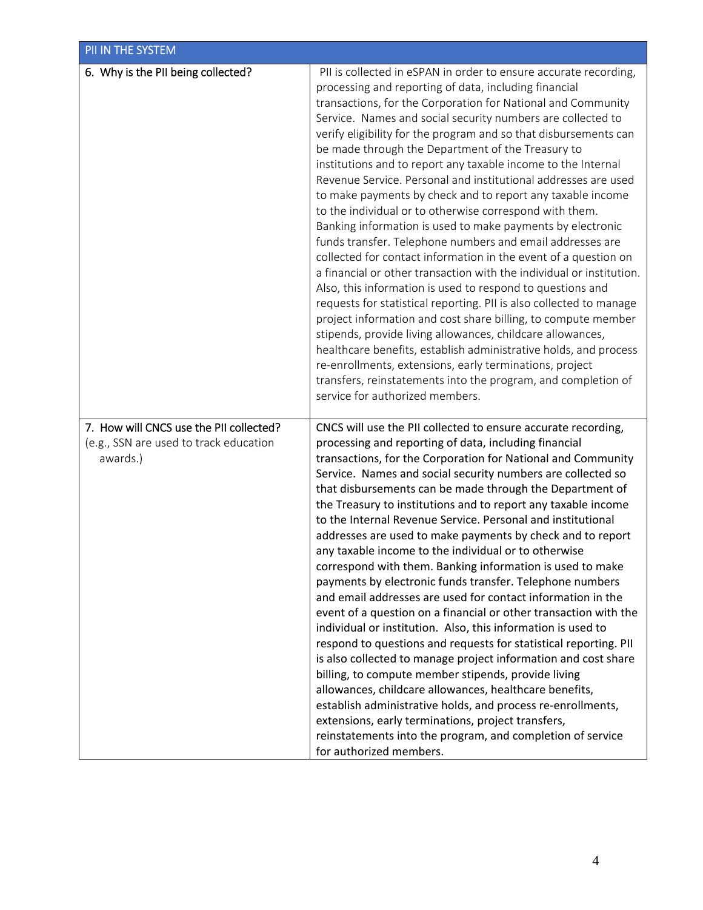| PII IN THE SYSTEM                                                                             |                                                                                                                                                                                                                                                                                                                                                                                                                                                                                                                                                                                                                                                                                                                                                                                                                                                                                                                                                                                                                                                                                                                                                                                                                                                                                                                                                                                                                            |
|-----------------------------------------------------------------------------------------------|----------------------------------------------------------------------------------------------------------------------------------------------------------------------------------------------------------------------------------------------------------------------------------------------------------------------------------------------------------------------------------------------------------------------------------------------------------------------------------------------------------------------------------------------------------------------------------------------------------------------------------------------------------------------------------------------------------------------------------------------------------------------------------------------------------------------------------------------------------------------------------------------------------------------------------------------------------------------------------------------------------------------------------------------------------------------------------------------------------------------------------------------------------------------------------------------------------------------------------------------------------------------------------------------------------------------------------------------------------------------------------------------------------------------------|
| 6. Why is the PII being collected?                                                            | PII is collected in eSPAN in order to ensure accurate recording,<br>processing and reporting of data, including financial<br>transactions, for the Corporation for National and Community<br>Service. Names and social security numbers are collected to<br>verify eligibility for the program and so that disbursements can<br>be made through the Department of the Treasury to<br>institutions and to report any taxable income to the Internal<br>Revenue Service. Personal and institutional addresses are used<br>to make payments by check and to report any taxable income<br>to the individual or to otherwise correspond with them.<br>Banking information is used to make payments by electronic<br>funds transfer. Telephone numbers and email addresses are<br>collected for contact information in the event of a question on<br>a financial or other transaction with the individual or institution.<br>Also, this information is used to respond to questions and<br>requests for statistical reporting. PII is also collected to manage<br>project information and cost share billing, to compute member<br>stipends, provide living allowances, childcare allowances,<br>healthcare benefits, establish administrative holds, and process<br>re-enrollments, extensions, early terminations, project<br>transfers, reinstatements into the program, and completion of<br>service for authorized members. |
| 7. How will CNCS use the PII collected?<br>(e.g., SSN are used to track education<br>awards.) | CNCS will use the PII collected to ensure accurate recording,<br>processing and reporting of data, including financial<br>transactions, for the Corporation for National and Community<br>Service. Names and social security numbers are collected so<br>that disbursements can be made through the Department of<br>the Treasury to institutions and to report any taxable income<br>to the Internal Revenue Service. Personal and institutional<br>addresses are used to make payments by check and to report<br>any taxable income to the individual or to otherwise<br>correspond with them. Banking information is used to make<br>payments by electronic funds transfer. Telephone numbers<br>and email addresses are used for contact information in the<br>event of a question on a financial or other transaction with the<br>individual or institution. Also, this information is used to<br>respond to questions and requests for statistical reporting. PII<br>is also collected to manage project information and cost share<br>billing, to compute member stipends, provide living<br>allowances, childcare allowances, healthcare benefits,<br>establish administrative holds, and process re-enrollments,<br>extensions, early terminations, project transfers,<br>reinstatements into the program, and completion of service<br>for authorized members.                                                   |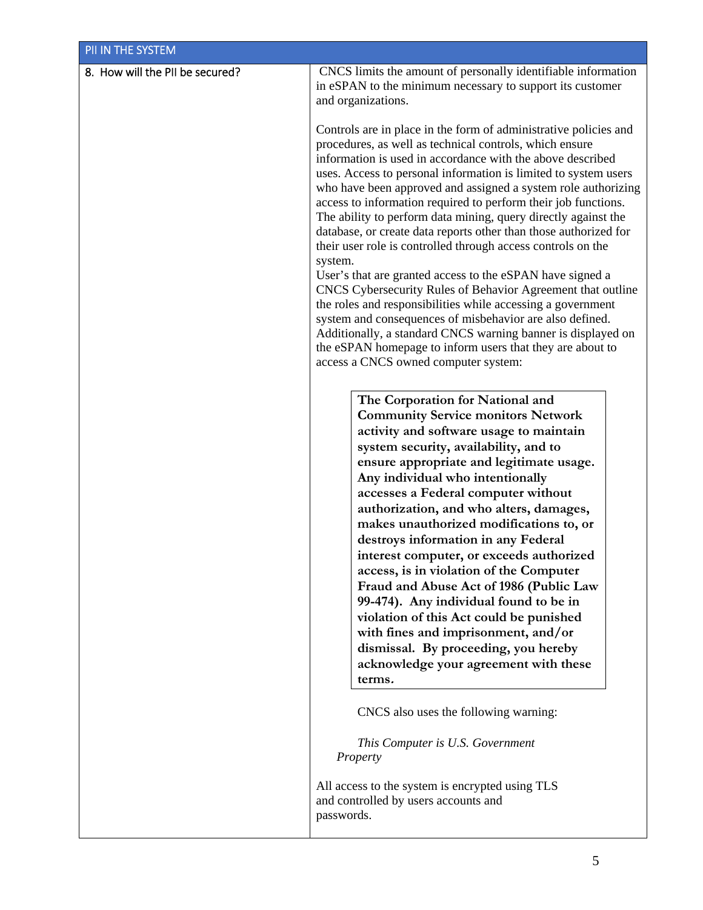| PII IN THE SYSTEM               |                                                                                                                                                                                                                                                                                                                                                                                                                                                                                                                                                                                                                                                                                                                                                                                                                                                                                                                                                                                                                                              |  |
|---------------------------------|----------------------------------------------------------------------------------------------------------------------------------------------------------------------------------------------------------------------------------------------------------------------------------------------------------------------------------------------------------------------------------------------------------------------------------------------------------------------------------------------------------------------------------------------------------------------------------------------------------------------------------------------------------------------------------------------------------------------------------------------------------------------------------------------------------------------------------------------------------------------------------------------------------------------------------------------------------------------------------------------------------------------------------------------|--|
| 8. How will the PII be secured? | CNCS limits the amount of personally identifiable information<br>in eSPAN to the minimum necessary to support its customer<br>and organizations.                                                                                                                                                                                                                                                                                                                                                                                                                                                                                                                                                                                                                                                                                                                                                                                                                                                                                             |  |
|                                 | Controls are in place in the form of administrative policies and<br>procedures, as well as technical controls, which ensure<br>information is used in accordance with the above described<br>uses. Access to personal information is limited to system users<br>who have been approved and assigned a system role authorizing<br>access to information required to perform their job functions.<br>The ability to perform data mining, query directly against the<br>database, or create data reports other than those authorized for<br>their user role is controlled through access controls on the<br>system.<br>User's that are granted access to the eSPAN have signed a<br>CNCS Cybersecurity Rules of Behavior Agreement that outline<br>the roles and responsibilities while accessing a government<br>system and consequences of misbehavior are also defined.<br>Additionally, a standard CNCS warning banner is displayed on<br>the eSPAN homepage to inform users that they are about to<br>access a CNCS owned computer system: |  |
|                                 | The Corporation for National and<br><b>Community Service monitors Network</b><br>activity and software usage to maintain<br>system security, availability, and to<br>ensure appropriate and legitimate usage.<br>Any individual who intentionally<br>accesses a Federal computer without<br>authorization, and who alters, damages,<br>makes unauthorized modifications to, or<br>destroys information in any Federal<br>interest computer, or exceeds authorized<br>access, is in violation of the Computer<br>Fraud and Abuse Act of 1986 (Public Law<br>99-474). Any individual found to be in<br>violation of this Act could be punished<br>with fines and imprisonment, and/or<br>dismissal. By proceeding, you hereby<br>acknowledge your agreement with these<br>terms.                                                                                                                                                                                                                                                               |  |
|                                 | CNCS also uses the following warning:<br>This Computer is U.S. Government<br>Property                                                                                                                                                                                                                                                                                                                                                                                                                                                                                                                                                                                                                                                                                                                                                                                                                                                                                                                                                        |  |
|                                 | All access to the system is encrypted using TLS<br>and controlled by users accounts and<br>passwords.                                                                                                                                                                                                                                                                                                                                                                                                                                                                                                                                                                                                                                                                                                                                                                                                                                                                                                                                        |  |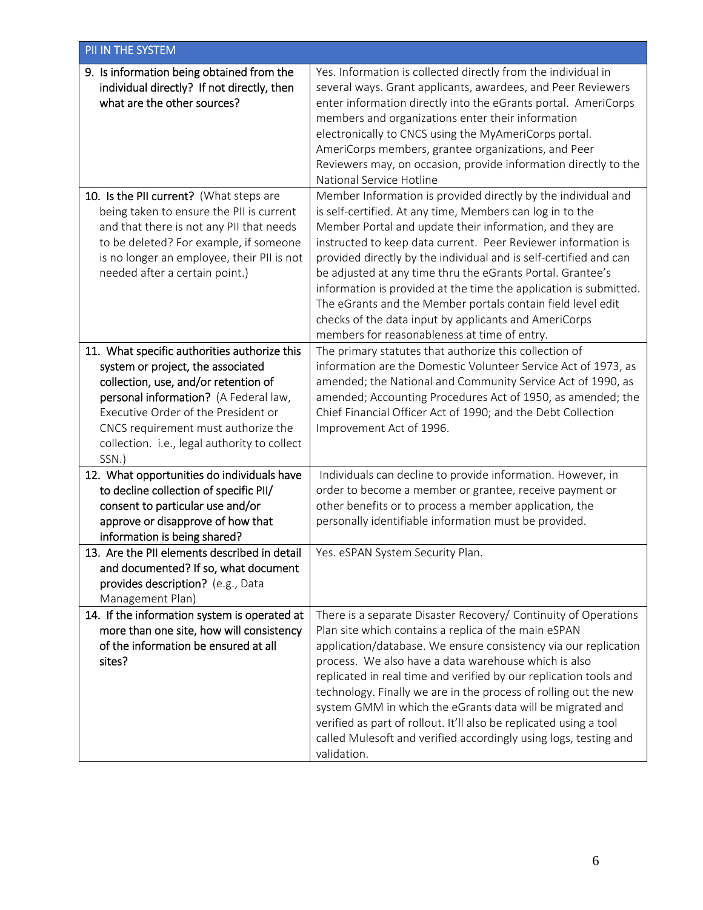| PII IN THE SYSTEM                                                                                                                                                                                                                                                                                         |                                                                                                                                                                                                                                                                                                                                                                                                                                                                                                                                                                                                                                         |
|-----------------------------------------------------------------------------------------------------------------------------------------------------------------------------------------------------------------------------------------------------------------------------------------------------------|-----------------------------------------------------------------------------------------------------------------------------------------------------------------------------------------------------------------------------------------------------------------------------------------------------------------------------------------------------------------------------------------------------------------------------------------------------------------------------------------------------------------------------------------------------------------------------------------------------------------------------------------|
| 9. Is information being obtained from the<br>individual directly? If not directly, then<br>what are the other sources?                                                                                                                                                                                    | Yes. Information is collected directly from the individual in<br>several ways. Grant applicants, awardees, and Peer Reviewers<br>enter information directly into the eGrants portal. AmeriCorps<br>members and organizations enter their information<br>electronically to CNCS using the MyAmeriCorps portal.<br>AmeriCorps members, grantee organizations, and Peer<br>Reviewers may, on occasion, provide information directly to the<br>National Service Hotline                                                                                                                                                                     |
| 10. Is the PII current? (What steps are<br>being taken to ensure the PII is current<br>and that there is not any PII that needs<br>to be deleted? For example, if someone<br>is no longer an employee, their PII is not<br>needed after a certain point.)                                                 | Member Information is provided directly by the individual and<br>is self-certified. At any time, Members can log in to the<br>Member Portal and update their information, and they are<br>instructed to keep data current. Peer Reviewer information is<br>provided directly by the individual and is self-certified and can<br>be adjusted at any time thru the eGrants Portal. Grantee's<br>information is provided at the time the application is submitted.<br>The eGrants and the Member portals contain field level edit<br>checks of the data input by applicants and AmeriCorps<br>members for reasonableness at time of entry. |
| 11. What specific authorities authorize this<br>system or project, the associated<br>collection, use, and/or retention of<br>personal information? (A Federal law,<br>Executive Order of the President or<br>CNCS requirement must authorize the<br>collection. i.e., legal authority to collect<br>SSN.) | The primary statutes that authorize this collection of<br>information are the Domestic Volunteer Service Act of 1973, as<br>amended; the National and Community Service Act of 1990, as<br>amended; Accounting Procedures Act of 1950, as amended; the<br>Chief Financial Officer Act of 1990; and the Debt Collection<br>Improvement Act of 1996.                                                                                                                                                                                                                                                                                      |
| 12. What opportunities do individuals have<br>to decline collection of specific PII/<br>consent to particular use and/or<br>approve or disapprove of how that<br>information is being shared?                                                                                                             | Individuals can decline to provide information. However, in<br>order to become a member or grantee, receive payment or<br>other benefits or to process a member application, the<br>personally identifiable information must be provided.                                                                                                                                                                                                                                                                                                                                                                                               |
| 13. Are the PII elements described in detail<br>and documented? If so, what document<br>provides description? (e.g., Data<br>Management Plan)                                                                                                                                                             | Yes. eSPAN System Security Plan.                                                                                                                                                                                                                                                                                                                                                                                                                                                                                                                                                                                                        |
| 14. If the information system is operated at<br>more than one site, how will consistency<br>of the information be ensured at all<br>sites?                                                                                                                                                                | There is a separate Disaster Recovery/ Continuity of Operations<br>Plan site which contains a replica of the main eSPAN<br>application/database. We ensure consistency via our replication<br>process. We also have a data warehouse which is also<br>replicated in real time and verified by our replication tools and<br>technology. Finally we are in the process of rolling out the new<br>system GMM in which the eGrants data will be migrated and<br>verified as part of rollout. It'll also be replicated using a tool<br>called Mulesoft and verified accordingly using logs, testing and<br>validation.                       |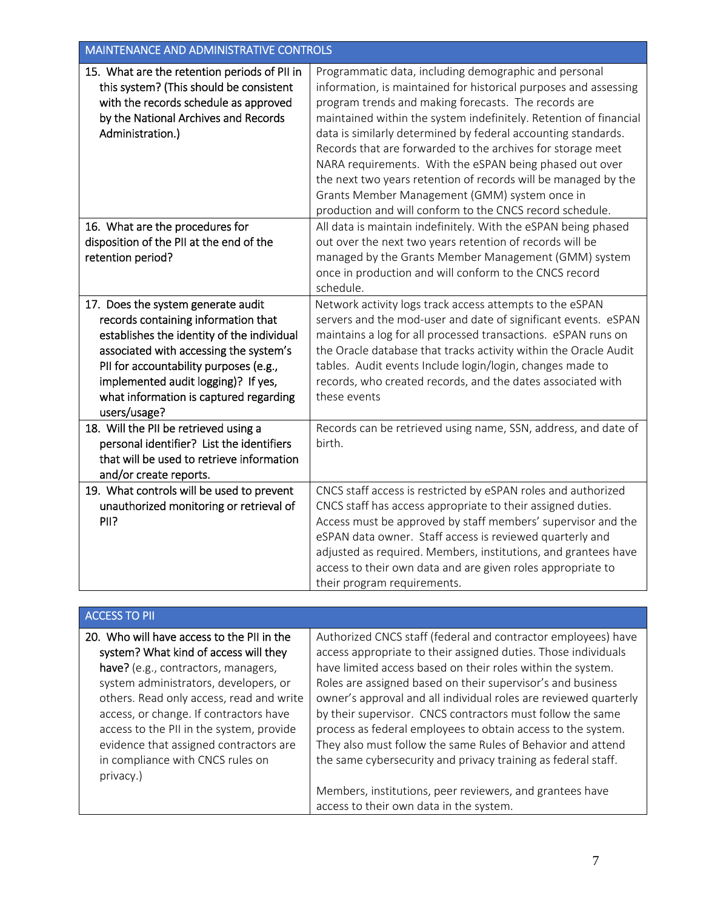| <b>MAINTENANCE AND ADMINISTRATIVE CONTROLS</b>                                                                                                                                                                                                                                                                                                                                                            |                                                                                                                                                                                                                                                                                                                                                                                                                                                                                                                                                                                                                                  |
|-----------------------------------------------------------------------------------------------------------------------------------------------------------------------------------------------------------------------------------------------------------------------------------------------------------------------------------------------------------------------------------------------------------|----------------------------------------------------------------------------------------------------------------------------------------------------------------------------------------------------------------------------------------------------------------------------------------------------------------------------------------------------------------------------------------------------------------------------------------------------------------------------------------------------------------------------------------------------------------------------------------------------------------------------------|
| 15. What are the retention periods of PII in<br>this system? (This should be consistent<br>with the records schedule as approved<br>by the National Archives and Records<br>Administration.)                                                                                                                                                                                                              | Programmatic data, including demographic and personal<br>information, is maintained for historical purposes and assessing<br>program trends and making forecasts. The records are<br>maintained within the system indefinitely. Retention of financial<br>data is similarly determined by federal accounting standards.<br>Records that are forwarded to the archives for storage meet<br>NARA requirements. With the eSPAN being phased out over<br>the next two years retention of records will be managed by the<br>Grants Member Management (GMM) system once in<br>production and will conform to the CNCS record schedule. |
| 16. What are the procedures for                                                                                                                                                                                                                                                                                                                                                                           | All data is maintain indefinitely. With the eSPAN being phased                                                                                                                                                                                                                                                                                                                                                                                                                                                                                                                                                                   |
| disposition of the PII at the end of the<br>retention period?                                                                                                                                                                                                                                                                                                                                             | out over the next two years retention of records will be<br>managed by the Grants Member Management (GMM) system<br>once in production and will conform to the CNCS record<br>schedule.                                                                                                                                                                                                                                                                                                                                                                                                                                          |
| 17. Does the system generate audit                                                                                                                                                                                                                                                                                                                                                                        | Network activity logs track access attempts to the eSPAN                                                                                                                                                                                                                                                                                                                                                                                                                                                                                                                                                                         |
| records containing information that<br>establishes the identity of the individual<br>associated with accessing the system's<br>PII for accountability purposes (e.g.,<br>implemented audit logging)? If yes,<br>what information is captured regarding<br>users/usage?<br>18. Will the PII be retrieved using a<br>personal identifier? List the identifiers<br>that will be used to retrieve information | servers and the mod-user and date of significant events. eSPAN<br>maintains a log for all processed transactions. eSPAN runs on<br>the Oracle database that tracks activity within the Oracle Audit<br>tables. Audit events Include login/login, changes made to<br>records, who created records, and the dates associated with<br>these events<br>Records can be retrieved using name, SSN, address, and date of<br>birth.                                                                                                                                                                                                      |
| and/or create reports.                                                                                                                                                                                                                                                                                                                                                                                    |                                                                                                                                                                                                                                                                                                                                                                                                                                                                                                                                                                                                                                  |
| 19. What controls will be used to prevent<br>unauthorized monitoring or retrieval of<br>PII?                                                                                                                                                                                                                                                                                                              | CNCS staff access is restricted by eSPAN roles and authorized<br>CNCS staff has access appropriate to their assigned duties.<br>Access must be approved by staff members' supervisor and the<br>eSPAN data owner. Staff access is reviewed quarterly and<br>adjusted as required. Members, institutions, and grantees have<br>access to their own data and are given roles appropriate to<br>their program requirements.                                                                                                                                                                                                         |

| <b>ACCESS TO PII</b>                                                                                                                                                                                                                                                                                                                                                                |                                                                                                                                                                                                                                                                                                                                                                                                                                                                                                                                                                                                 |
|-------------------------------------------------------------------------------------------------------------------------------------------------------------------------------------------------------------------------------------------------------------------------------------------------------------------------------------------------------------------------------------|-------------------------------------------------------------------------------------------------------------------------------------------------------------------------------------------------------------------------------------------------------------------------------------------------------------------------------------------------------------------------------------------------------------------------------------------------------------------------------------------------------------------------------------------------------------------------------------------------|
| 20. Who will have access to the PII in the<br>system? What kind of access will they<br>have? (e.g., contractors, managers,<br>system administrators, developers, or<br>others. Read only access, read and write<br>access, or change. If contractors have<br>access to the PII in the system, provide<br>evidence that assigned contractors are<br>in compliance with CNCS rules on | Authorized CNCS staff (federal and contractor employees) have<br>access appropriate to their assigned duties. Those individuals<br>have limited access based on their roles within the system.<br>Roles are assigned based on their supervisor's and business<br>owner's approval and all individual roles are reviewed quarterly<br>by their supervisor. CNCS contractors must follow the same<br>process as federal employees to obtain access to the system.<br>They also must follow the same Rules of Behavior and attend<br>the same cybersecurity and privacy training as federal staff. |
| privacy.)                                                                                                                                                                                                                                                                                                                                                                           | Members, institutions, peer reviewers, and grantees have<br>access to their own data in the system.                                                                                                                                                                                                                                                                                                                                                                                                                                                                                             |